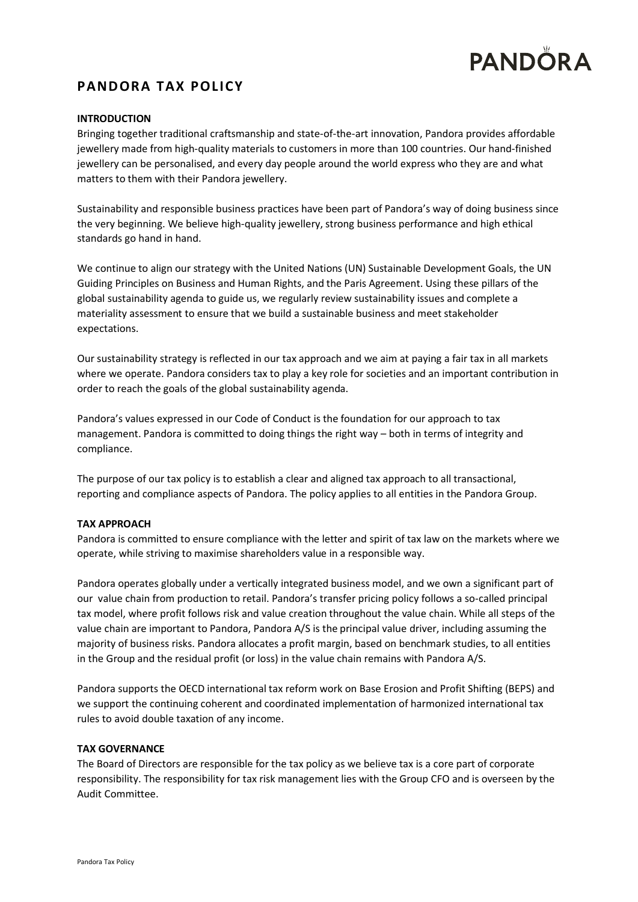

# **PANDORA TAX POLICY**

## **INTRODUCTION**

Bringing together traditional craftsmanship and state-of-the-art innovation, Pandora provides affordable jewellery made from high-quality materials to customers in more than 100 countries. Our hand-finished jewellery can be personalised, and every day people around the world express who they are and what matters to them with their Pandora jewellery.

Sustainability and responsible business practices have been part of Pandora's way of doing business since the very beginning. We believe high-quality jewellery, strong business performance and high ethical standards go hand in hand.

We continue to align our strategy with the United Nations (UN) Sustainable Development Goals, the UN Guiding Principles on Business and Human Rights, and the Paris Agreement. Using these pillars of the global sustainability agenda to guide us, we regularly review sustainability issues and complete a materiality assessment to ensure that we build a sustainable business and meet stakeholder expectations.

Our sustainability strategy is reflected in our tax approach and we aim at paying a fair tax in all markets where we operate. Pandora considers tax to play a key role for societies and an important contribution in order to reach the goals of the global sustainability agenda.

Pandora's values expressed in our Code of Conduct is the foundation for our approach to tax management. Pandora is committed to doing things the right way – both in terms of integrity and compliance.

The purpose of our tax policy is to establish a clear and aligned tax approach to all transactional, reporting and compliance aspects of Pandora. The policy applies to all entities in the Pandora Group.

## **TAX APPROACH**

Pandora is committed to ensure compliance with the letter and spirit of tax law on the markets where we operate, while striving to maximise shareholders value in a responsible way.

Pandora operates globally under a vertically integrated business model, and we own a significant part of our value chain from production to retail. Pandora's transfer pricing policy follows a so-called principal tax model, where profit follows risk and value creation throughout the value chain. While all steps of the value chain are important to Pandora, Pandora A/S is the principal value driver, including assuming the majority of business risks. Pandora allocates a profit margin, based on benchmark studies, to all entities in the Group and the residual profit (or loss) in the value chain remains with Pandora A/S.

Pandora supports the OECD international tax reform work on Base Erosion and Profit Shifting (BEPS) and we support the continuing coherent and coordinated implementation of harmonized international tax rules to avoid double taxation of any income.

## **TAX GOVERNANCE**

The Board of Directors are responsible for the tax policy as we believe tax is a core part of corporate responsibility. The responsibility for tax risk management lies with the Group CFO and is overseen by the Audit Committee.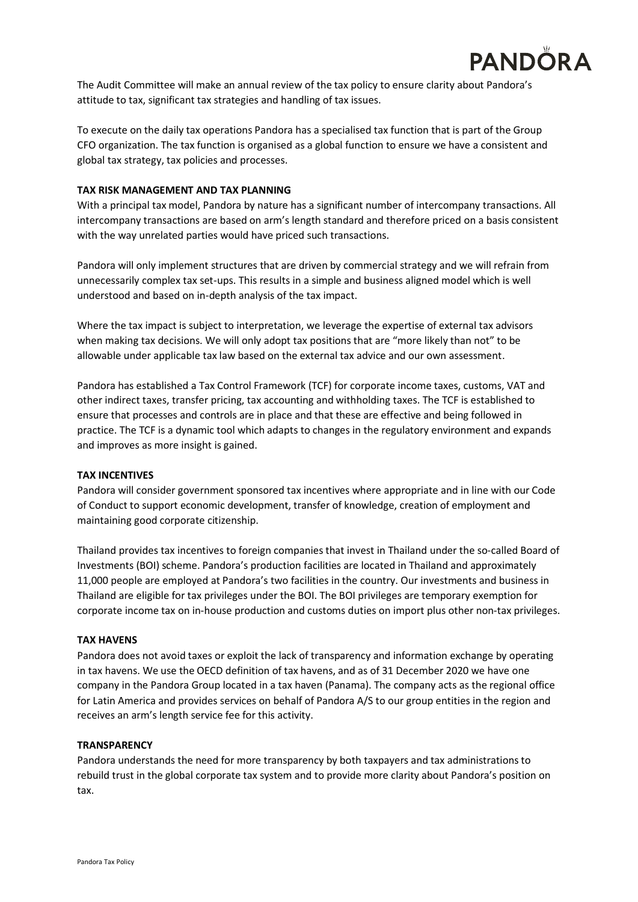

The Audit Committee will make an annual review of the tax policy to ensure clarity about Pandora's attitude to tax, significant tax strategies and handling of tax issues.

To execute on the daily tax operations Pandora has a specialised tax function that is part of the Group CFO organization. The tax function is organised as a global function to ensure we have a consistent and global tax strategy, tax policies and processes.

## **TAX RISK MANAGEMENT AND TAX PLANNING**

With a principal tax model, Pandora by nature has a significant number of intercompany transactions. All intercompany transactions are based on arm's length standard and therefore priced on a basis consistent with the way unrelated parties would have priced such transactions.

Pandora will only implement structures that are driven by commercial strategy and we will refrain from unnecessarily complex tax set-ups. This results in a simple and business aligned model which is well understood and based on in-depth analysis of the tax impact.

Where the tax impact is subject to interpretation, we leverage the expertise of external tax advisors when making tax decisions. We will only adopt tax positions that are "more likely than not" to be allowable under applicable tax law based on the external tax advice and our own assessment.

Pandora has established a Tax Control Framework (TCF) for corporate income taxes, customs, VAT and other indirect taxes, transfer pricing, tax accounting and withholding taxes. The TCF is established to ensure that processes and controls are in place and that these are effective and being followed in practice. The TCF is a dynamic tool which adapts to changes in the regulatory environment and expands and improves as more insight is gained.

## **TAX INCENTIVES**

Pandora will consider government sponsored tax incentives where appropriate and in line with our Code of Conduct to support economic development, transfer of knowledge, creation of employment and maintaining good corporate citizenship.

Thailand provides tax incentives to foreign companies that invest in Thailand under the so-called Board of Investments (BOI) scheme. Pandora's production facilities are located in Thailand and approximately 11,000 people are employed at Pandora's two facilities in the country. Our investments and business in Thailand are eligible for tax privileges under the BOI. The BOI privileges are temporary exemption for corporate income tax on in-house production and customs duties on import plus other non-tax privileges.

## **TAX HAVENS**

Pandora does not avoid taxes or exploit the lack of transparency and information exchange by operating in tax havens. We use the OECD definition of tax havens, and as of 31 December 2020 we have one company in the Pandora Group located in a tax haven (Panama). The company acts as the regional office for Latin America and provides services on behalf of Pandora A/S to our group entities in the region and receives an arm's length service fee for this activity.

## **TRANSPARENCY**

Pandora understands the need for more transparency by both taxpayers and tax administrations to rebuild trust in the global corporate tax system and to provide more clarity about Pandora's position on tax.